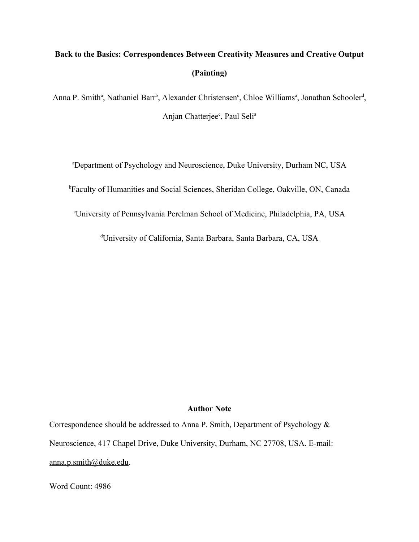# **Back to the Basics: Correspondences Between Creativity Measures and Creative Output (Painting)**

Anna P. Smith<sup>a</sup>, Nathaniel Barr<sup>b</sup>, Alexander Christensen<sup>c</sup>, Chloe Williams<sup>a</sup>, Jonathan Schooler<sup>d</sup>, Anjan Chatterjee<sup>c</sup>, Paul Seli<sup>a</sup>

<sup>a</sup>Department of Psychology and Neuroscience, Duke University, Durham NC, USA

<sup>b</sup>Faculty of Humanities and Social Sciences, Sheridan College, Oakville, ON, Canada

<sup>c</sup>University of Pennsylvania Perelman School of Medicine, Philadelphia, PA, USA

<sup>d</sup>University of California, Santa Barbara, Santa Barbara, CA, USA

#### **Author Note**

Correspondence should be addressed to Anna P. Smith, Department of Psychology & Neuroscience, 417 Chapel Drive, Duke University, Durham, NC 27708, USA. E-mail: [anna.p.smith@duke.edu](mailto:anna.p.smith@duke.edu).

Word Count: 4986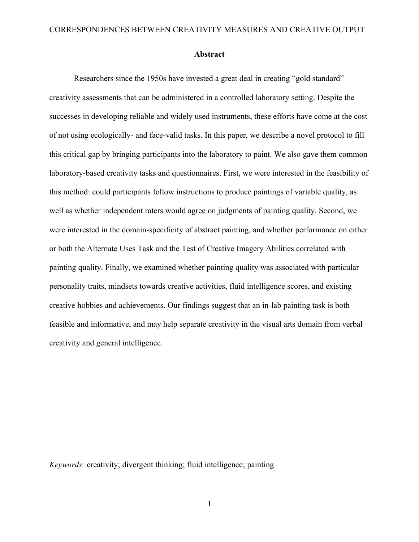#### **Abstract**

Researchers since the 1950s have invested a great deal in creating "gold standard" creativity assessments that can be administered in a controlled laboratory setting. Despite the successes in developing reliable and widely used instruments, these efforts have come at the cost of not using ecologically- and face-valid tasks. In this paper, we describe a novel protocol to fill this critical gap by bringing participants into the laboratory to paint. We also gave them common laboratory-based creativity tasks and questionnaires. First, we were interested in the feasibility of this method: could participants follow instructions to produce paintings of variable quality, as well as whether independent raters would agree on judgments of painting quality. Second, we were interested in the domain-specificity of abstract painting, and whether performance on either or both the Alternate Uses Task and the Test of Creative Imagery Abilities correlated with painting quality. Finally, we examined whether painting quality was associated with particular personality traits, mindsets towards creative activities, fluid intelligence scores, and existing creative hobbies and achievements. Our findings suggest that an in-lab painting task is both feasible and informative, and may help separate creativity in the visual arts domain from verbal creativity and general intelligence.

*Keywords:* creativity; divergent thinking; fluid intelligence; painting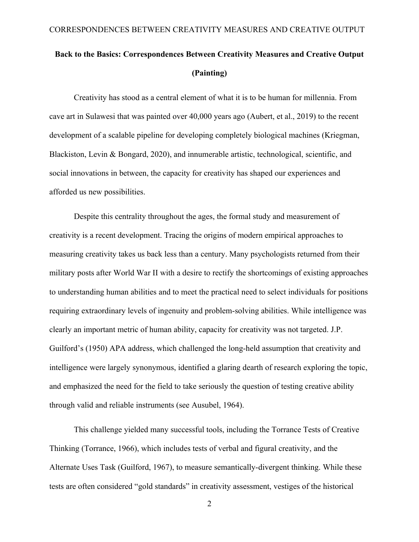# **Back to the Basics: Correspondences Between Creativity Measures and Creative Output (Painting)**

Creativity has stood as a central element of what it is to be human for millennia. From cave art in Sulawesi that was painted over 40,000 years ago (Aubert, et al., 2019) to the recent development of a scalable pipeline for developing completely biological machines (Kriegman, Blackiston, Levin & Bongard, 2020), and innumerable artistic, technological, scientific, and social innovations in between, the capacity for creativity has shaped our experiences and afforded us new possibilities.

Despite this centrality throughout the ages, the formal study and measurement of creativity is a recent development. Tracing the origins of modern empirical approaches to measuring creativity takes us back less than a century. Many psychologists returned from their military posts after World War II with a desire to rectify the shortcomings of existing approaches to understanding human abilities and to meet the practical need to select individuals for positions requiring extraordinary levels of ingenuity and problem-solving abilities. While intelligence was clearly an important metric of human ability, capacity for creativity was not targeted. J.P. Guilford's (1950) APA address, which challenged the long-held assumption that creativity and intelligence were largely synonymous, identified a glaring dearth of research exploring the topic, and emphasized the need for the field to take seriously the question of testing creative ability through valid and reliable instruments (see Ausubel, 1964).

This challenge yielded many successful tools, including the Torrance Tests of Creative Thinking (Torrance, 1966), which includes tests of verbal and figural creativity, and the Alternate Uses Task (Guilford, 1967), to measure semantically-divergent thinking. While these tests are often considered "gold standards" in creativity assessment, vestiges of the historical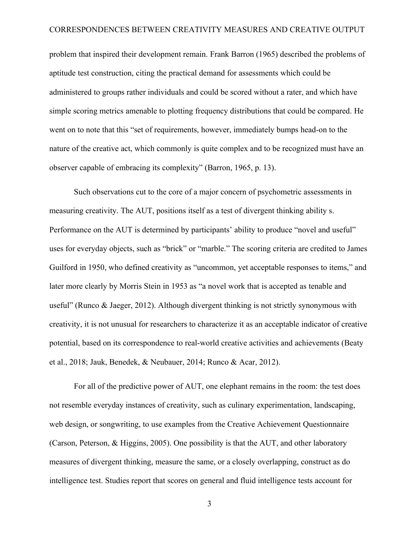problem that inspired their development remain. Frank Barron (1965) described the problems of aptitude test construction, citing the practical demand for assessments which could be administered to groups rather individuals and could be scored without a rater, and which have simple scoring metrics amenable to plotting frequency distributions that could be compared. He went on to note that this "set of requirements, however, immediately bumps head-on to the nature of the creative act, which commonly is quite complex and to be recognized must have an observer capable of embracing its complexity" (Barron, 1965, p. 13).

Such observations cut to the core of a major concern of psychometric assessments in measuring creativity. The AUT, positions itself as a test of divergent thinking ability s. Performance on the AUT is determined by participants' ability to produce "novel and useful" uses for everyday objects, such as "brick" or "marble." The scoring criteria are credited to James Guilford in 1950, who defined creativity as "uncommon, yet acceptable responses to items," and later more clearly by Morris Stein in 1953 as "a novel work that is accepted as tenable and useful" (Runco & Jaeger, 2012). Although divergent thinking is not strictly synonymous with creativity, it is not unusual for researchers to characterize it as an acceptable indicator of creative potential, based on its correspondence to real-world creative activities and achievements (Beaty et al., 2018; Jauk, Benedek, & Neubauer, 2014; Runco & Acar, 2012).

For all of the predictive power of AUT, one elephant remains in the room: the test does not resemble everyday instances of creativity, such as culinary experimentation, landscaping, web design, or songwriting, to use examples from the Creative Achievement Questionnaire (Carson, Peterson, & Higgins, 2005). One possibility is that the AUT, and other laboratory measures of divergent thinking, measure the same, or a closely overlapping, construct as do intelligence test. Studies report that scores on general and fluid intelligence tests account for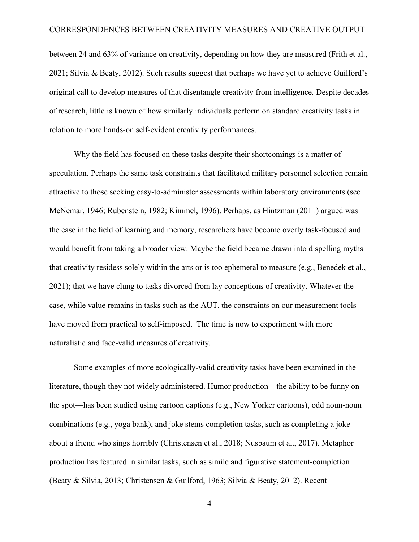between 24 and 63% of variance on creativity, depending on how they are measured (Frith et al., 2021; Silvia & Beaty, 2012). Such results suggest that perhaps we have yet to achieve Guilford's original call to develop measures of that disentangle creativity from intelligence. Despite decades of research, little is known of how similarly individuals perform on standard creativity tasks in relation to more hands-on self-evident creativity performances.

Why the field has focused on these tasks despite their shortcomings is a matter of speculation. Perhaps the same task constraints that facilitated military personnel selection remain attractive to those seeking easy-to-administer assessments within laboratory environments (see McNemar, 1946; Rubenstein, 1982; Kimmel, 1996). Perhaps, as Hintzman (2011) argued was the case in the field of learning and memory, researchers have become overly task-focused and would benefit from taking a broader view. Maybe the field became drawn into dispelling myths that creativity residess solely within the arts or is too ephemeral to measure (e.g., Benedek et al., 2021); that we have clung to tasks divorced from lay conceptions of creativity. Whatever the case, while value remains in tasks such as the AUT, the constraints on our measurement tools have moved from practical to self-imposed. The time is now to experiment with more naturalistic and face-valid measures of creativity.

Some examples of more ecologically-valid creativity tasks have been examined in the literature, though they not widely administered. Humor production—the ability to be funny on the spot—has been studied using cartoon captions (e.g., New Yorker cartoons), odd noun-noun combinations (e.g., yoga bank), and joke stems completion tasks, such as completing a joke about a friend who sings horribly (Christensen et al., 2018; Nusbaum et al., 2017). Metaphor production has featured in similar tasks, such as simile and figurative statement-completion (Beaty & Silvia, 2013; Christensen & Guilford, 1963; Silvia & Beaty, 2012). Recent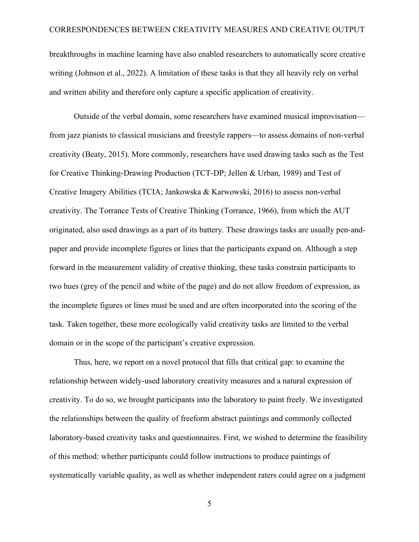breakthroughs in machine learning have also enabled researchers to automatically score creative writing (Johnson et al., 2022). A limitation of these tasks is that they all heavily rely on verbal and written ability and therefore only capture a specific application of creativity.

Outside of the verbal domain, some researchers have examined musical improvisation from jazz pianists to classical musicians and freestyle rappers—to assess domains of non-verbal creativity (Beaty, 2015). More commonly, researchers have used drawing tasks such as the Test for Creative Thinking-Drawing Production (TCT-DP; Jellen & Urban, 1989) and Test of Creative Imagery Abilities (TCIA; Jankowska & Karwowski, 2016) to assess non-verbal creativity. The Torrance Tests of Creative Thinking (Torrance, 1966), from which the AUT originated, also used drawings as a part of its battery. These drawings tasks are usually pen-andpaper and provide incomplete figures or lines that the participants expand on. Although a step forward in the measurement validity of creative thinking, these tasks constrain participants to two hues (grey of the pencil and white of the page) and do not allow freedom of expression, as the incomplete figures or lines must be used and are often incorporated into the scoring of the task. Taken together, these more ecologically valid creativity tasks are limited to the verbal domain or in the scope of the participant's creative expression.

Thus, here, we report on a novel protocol that fills that critical gap: to examine the relationship between widely-used laboratory creativity measures and a natural expression of creativity. To do so, we brought participants into the laboratory to paint freely. We investigated the relationships between the quality of freeform abstract paintings and commonly collected laboratory-based creativity tasks and questionnaires. First, we wished to determine the feasibility of this method: whether participants could follow instructions to produce paintings of systematically variable quality, as well as whether independent raters could agree on a judgment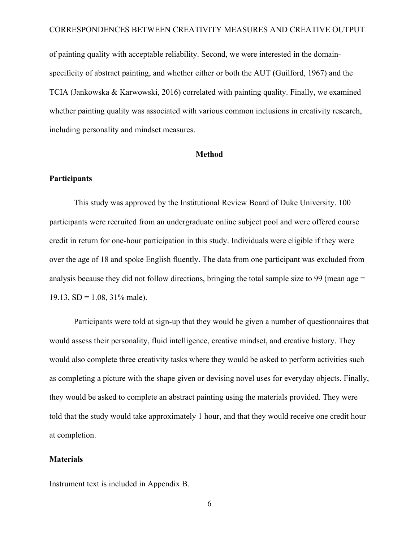of painting quality with acceptable reliability. Second, we were interested in the domainspecificity of abstract painting, and whether either or both the AUT (Guilford, 1967) and the TCIA (Jankowska & Karwowski, 2016) correlated with painting quality. Finally, we examined whether painting quality was associated with various common inclusions in creativity research, including personality and mindset measures.

#### **Method**

### **Participants**

This study was approved by the Institutional Review Board of Duke University. 100 participants were recruited from an undergraduate online subject pool and were offered course credit in return for one-hour participation in this study. Individuals were eligible if they were over the age of 18 and spoke English fluently. The data from one participant was excluded from analysis because they did not follow directions, bringing the total sample size to 99 (mean age = 19.13,  $SD = 1.08$ ,  $31\%$  male).

Participants were told at sign-up that they would be given a number of questionnaires that would assess their personality, fluid intelligence, creative mindset, and creative history. They would also complete three creativity tasks where they would be asked to perform activities such as completing a picture with the shape given or devising novel uses for everyday objects. Finally, they would be asked to complete an abstract painting using the materials provided. They were told that the study would take approximately 1 hour, and that they would receive one credit hour at completion.

#### **Materials**

Instrument text is included in Appendix B.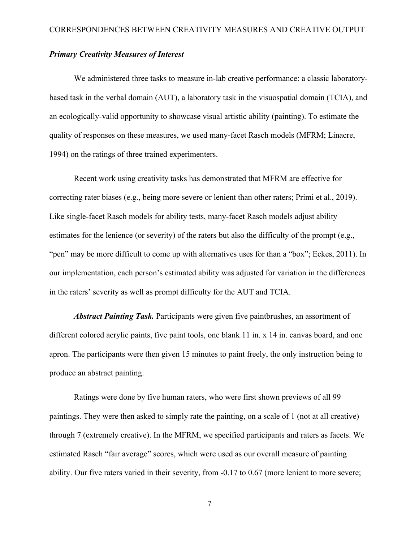### *Primary Creativity Measures of Interest*

We administered three tasks to measure in-lab creative performance: a classic laboratorybased task in the verbal domain (AUT), a laboratory task in the visuospatial domain (TCIA), and an ecologically-valid opportunity to showcase visual artistic ability (painting). To estimate the quality of responses on these measures, we used many-facet Rasch models (MFRM; Linacre, 1994) on the ratings of three trained experimenters.

Recent work using creativity tasks has demonstrated that MFRM are effective for correcting rater biases (e.g., being more severe or lenient than other raters; Primi et al., 2019). Like single-facet Rasch models for ability tests, many-facet Rasch models adjust ability estimates for the lenience (or severity) of the raters but also the difficulty of the prompt (e.g., "pen" may be more difficult to come up with alternatives uses for than a "box"; Eckes, 2011). In our implementation, each person's estimated ability was adjusted for variation in the differences in the raters' severity as well as prompt difficulty for the AUT and TCIA.

*Abstract Painting Task.* Participants were given five paintbrushes, an assortment of different colored acrylic paints, five paint tools, one blank 11 in. x 14 in. canvas board, and one apron. The participants were then given 15 minutes to paint freely, the only instruction being to produce an abstract painting.

Ratings were done by five human raters, who were first shown previews of all 99 paintings. They were then asked to simply rate the painting, on a scale of 1 (not at all creative) through 7 (extremely creative). In the MFRM, we specified participants and raters as facets. We estimated Rasch "fair average" scores, which were used as our overall measure of painting ability. Our five raters varied in their severity, from -0.17 to 0.67 (more lenient to more severe;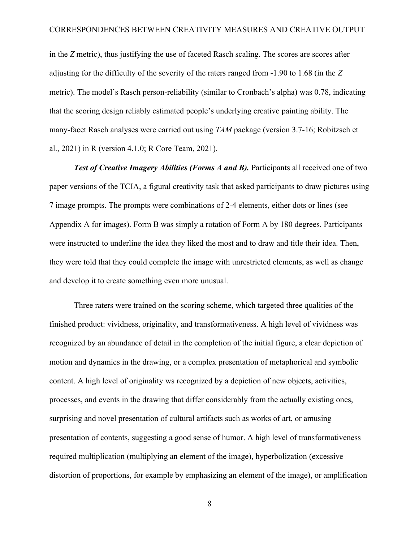in the *Z* metric), thus justifying the use of faceted Rasch scaling. The scores are scores after adjusting for the difficulty of the severity of the raters ranged from -1.90 to 1.68 (in the *Z* metric). The model's Rasch person-reliability (similar to Cronbach's alpha) was 0.78, indicating that the scoring design reliably estimated people's underlying creative painting ability. The many-facet Rasch analyses were carried out using *TAM* package (version 3.7-16; Robitzsch et al., 2021) in R (version 4.1.0; R Core Team, 2021).

**Test of Creative Imagery Abilities (Forms A and B).** Participants all received one of two paper versions of the TCIA, a figural creativity task that asked participants to draw pictures using 7 image prompts. The prompts were combinations of 2-4 elements, either dots or lines (see Appendix A for images). Form B was simply a rotation of Form A by 180 degrees. Participants were instructed to underline the idea they liked the most and to draw and title their idea. Then, they were told that they could complete the image with unrestricted elements, as well as change and develop it to create something even more unusual.

Three raters were trained on the scoring scheme, which targeted three qualities of the finished product: vividness, originality, and transformativeness. A high level of vividness was recognized by an abundance of detail in the completion of the initial figure, a clear depiction of motion and dynamics in the drawing, or a complex presentation of metaphorical and symbolic content. A high level of originality ws recognized by a depiction of new objects, activities, processes, and events in the drawing that differ considerably from the actually existing ones, surprising and novel presentation of cultural artifacts such as works of art, or amusing presentation of contents, suggesting a good sense of humor. A high level of transformativeness required multiplication (multiplying an element of the image), hyperbolization (excessive distortion of proportions, for example by emphasizing an element of the image), or amplification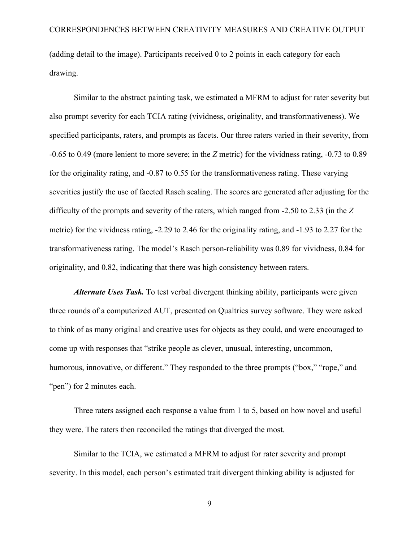(adding detail to the image). Participants received 0 to 2 points in each category for each drawing.

Similar to the abstract painting task, we estimated a MFRM to adjust for rater severity but also prompt severity for each TCIA rating (vividness, originality, and transformativeness). We specified participants, raters, and prompts as facets. Our three raters varied in their severity, from -0.65 to 0.49 (more lenient to more severe; in the *Z* metric) for the vividness rating, -0.73 to 0.89 for the originality rating, and -0.87 to 0.55 for the transformativeness rating. These varying severities justify the use of faceted Rasch scaling. The scores are generated after adjusting for the difficulty of the prompts and severity of the raters, which ranged from -2.50 to 2.33 (in the *Z* metric) for the vividness rating, -2.29 to 2.46 for the originality rating, and -1.93 to 2.27 for the transformativeness rating. The model's Rasch person-reliability was 0.89 for vividness, 0.84 for originality, and 0.82, indicating that there was high consistency between raters.

*Alternate Uses Task.* To test verbal divergent thinking ability, participants were given three rounds of a computerized AUT, presented on Qualtrics survey software. They were asked to think of as many original and creative uses for objects as they could, and were encouraged to come up with responses that "strike people as clever, unusual, interesting, uncommon, humorous, innovative, or different." They responded to the three prompts ("box," "rope," and "pen") for 2 minutes each.

Three raters assigned each response a value from 1 to 5, based on how novel and useful they were. The raters then reconciled the ratings that diverged the most.

Similar to the TCIA, we estimated a MFRM to adjust for rater severity and prompt severity. In this model, each person's estimated trait divergent thinking ability is adjusted for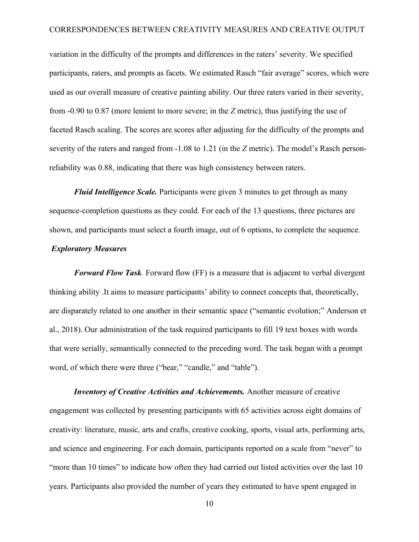variation in the difficulty of the prompts and differences in the raters' severity. We specified participants, raters, and prompts as facets. We estimated Rasch "fair average" scores, which were used as our overall measure of creative painting ability. Our three raters varied in their severity, from -0.90 to 0.87 (more lenient to more severe; in the *Z* metric), thus justifying the use of faceted Rasch scaling. The scores are scores after adjusting for the difficulty of the prompts and severity of the raters and ranged from -1.08 to 1.21 (in the *Z* metric). The model's Rasch personreliability was 0.88, indicating that there was high consistency between raters.

*Fluid Intelligence Scale.* Participants were given 3 minutes to get through as many sequence-completion questions as they could. For each of the 13 questions, three pictures are shown, and participants must select a fourth image, out of 6 options, to complete the sequence.

# *Exploratory Measures*

*Forward Flow Task.* Forward flow (FF) is a measure that is adjacent to verbal divergent thinking ability .It aims to measure participants' ability to connect concepts that, theoretically, are disparately related to one another in their semantic space ("semantic evolution;" Anderson et al., 2018). Our administration of the task required participants to fill 19 text boxes with words that were serially, semantically connected to the preceding word. The task began with a prompt word, of which there were three ("bear," "candle," and "table").

*Inventory of Creative Activities and Achievements.* Another measure of creative engagement was collected by presenting participants with 65 activities across eight domains of creativity: literature, music, arts and crafts, creative cooking, sports, visual arts, performing arts, and science and engineering. For each domain, participants reported on a scale from "never" to "more than 10 times" to indicate how often they had carried out listed activities over the last 10 years. Participants also provided the number of years they estimated to have spent engaged in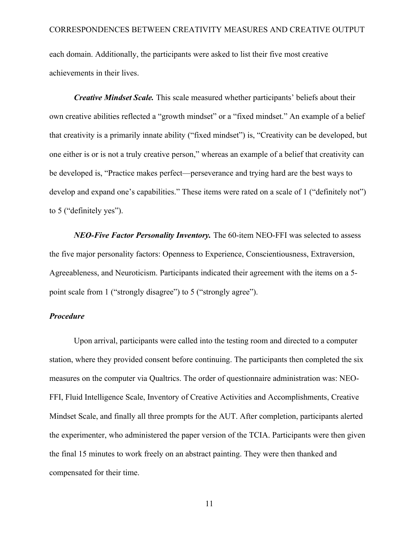each domain. Additionally, the participants were asked to list their five most creative achievements in their lives.

*Creative Mindset Scale.* This scale measured whether participants' beliefs about their own creative abilities reflected a "growth mindset" or a "fixed mindset." An example of a belief that creativity is a primarily innate ability ("fixed mindset") is, "Creativity can be developed, but one either is or is not a truly creative person," whereas an example of a belief that creativity can be developed is, "Practice makes perfect—perseverance and trying hard are the best ways to develop and expand one's capabilities." These items were rated on a scale of 1 ("definitely not") to 5 ("definitely yes").

*NEO-Five Factor Personality Inventory.* The 60-item NEO-FFI was selected to assess the five major personality factors: Openness to Experience, Conscientiousness, Extraversion, Agreeableness, and Neuroticism. Participants indicated their agreement with the items on a 5 point scale from 1 ("strongly disagree") to 5 ("strongly agree").

#### *Procedure*

Upon arrival, participants were called into the testing room and directed to a computer station, where they provided consent before continuing. The participants then completed the six measures on the computer via Qualtrics. The order of questionnaire administration was: NEO-FFI, Fluid Intelligence Scale, Inventory of Creative Activities and Accomplishments, Creative Mindset Scale, and finally all three prompts for the AUT. After completion, participants alerted the experimenter, who administered the paper version of the TCIA. Participants were then given the final 15 minutes to work freely on an abstract painting. They were then thanked and compensated for their time.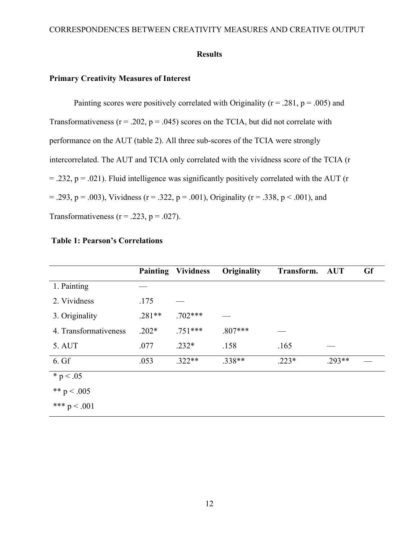#### **Results**

#### **Primary Creativity Measures of Interest**

Painting scores were positively correlated with Originality ( $r = .281$ ,  $p = .005$ ) and Transformativeness ( $r = .202$ ,  $p = .045$ ) scores on the TCIA, but did not correlate with performance on the AUT (table 2). All three sub-scores of the TCIA were strongly intercorrelated. The AUT and TCIA only correlated with the vividness score of the TCIA (r  $=$  .232, p = .021). Fluid intelligence was significantly positively correlated with the AUT (r  $= .293$ ,  $p = .003$ ), Vividness (r = .322, p = .001), Originality (r = .338, p < .001), and Transformativeness ( $r = .223$ ,  $p = .027$ ).

|                       |          | <b>Painting Vividness</b> | Originality | Transform. | <b>AUT</b> | <b>Gf</b> |
|-----------------------|----------|---------------------------|-------------|------------|------------|-----------|
| 1. Painting           |          |                           |             |            |            |           |
| 2. Vividness          | .175     |                           |             |            |            |           |
| 3. Originality        | $.281**$ | $.702***$                 |             |            |            |           |
| 4. Transformativeness | $.202*$  | $.751***$                 | $.807***$   |            |            |           |
| 5. AUT                | .077     | $.232*$                   | .158        | .165       |            |           |
| 6. Gf                 | .053     | $.322**$                  | $.338**$    | $.223*$    | $.293**$   |           |
| * $p < .05$           |          |                           |             |            |            |           |
| ** $p < .005$         |          |                           |             |            |            |           |
| *** $p < .001$        |          |                           |             |            |            |           |

### **Table 1: Pearson's Correlations**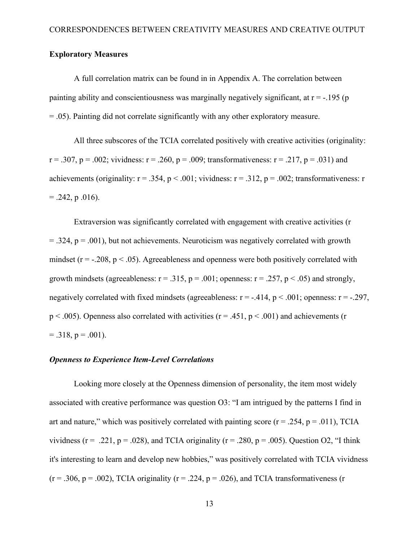#### **Exploratory Measures**

A full correlation matrix can be found in in Appendix A. The correlation between painting ability and conscientiousness was marginally negatively significant, at  $r = -195$  (p = .05). Painting did not correlate significantly with any other exploratory measure.

All three subscores of the TCIA correlated positively with creative activities (originality:  $r = .307$ ,  $p = .002$ ; vividness:  $r = .260$ ,  $p = .009$ ; transformativeness:  $r = .217$ ,  $p = .031$ ) and achievements (originality:  $r = .354$ ,  $p < .001$ ; vividness:  $r = .312$ ,  $p = .002$ ; transformativeness: r  $= .242$ , p  $.016$ ).

Extraversion was significantly correlated with engagement with creative activities (r  $= .324$ ,  $p = .001$ ), but not achievements. Neuroticism was negatively correlated with growth mindset ( $r = -0.208$ ,  $p < 0.05$ ). Agreeableness and openness were both positively correlated with growth mindsets (agreeableness:  $r = .315$ ,  $p = .001$ ; openness:  $r = .257$ ,  $p < .05$ ) and strongly, negatively correlated with fixed mindsets (agreeableness:  $r = -.414$ ,  $p < .001$ ; openness:  $r = -.297$ ,  $p < .005$ ). Openness also correlated with activities ( $r = .451$ ,  $p < .001$ ) and achievements (r  $= .318$ ,  $p = .001$ ).

#### *Openness to Experience Item-Level Correlations*

Looking more closely at the Openness dimension of personality, the item most widely associated with creative performance was question O3: "I am intrigued by the patterns I find in art and nature," which was positively correlated with painting score ( $r = 0.254$ ,  $p = 0.011$ ), TCIA vividness ( $r = .221$ ,  $p = .028$ ), and TCIA originality ( $r = .280$ ,  $p = .005$ ). Question O2, "I think it's interesting to learn and develop new hobbies," was positively correlated with TCIA vividness  $(r = .306, p = .002)$ , TCIA originality  $(r = .224, p = .026)$ , and TCIA transformativeness (r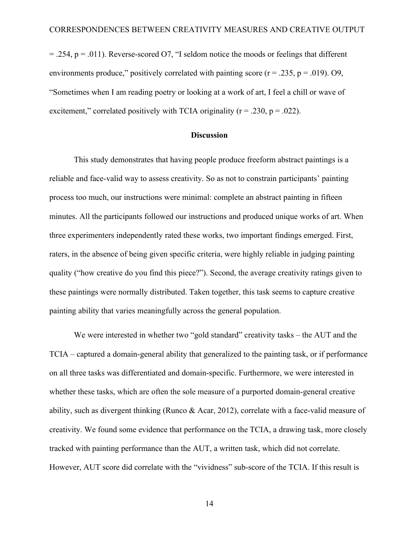$= .254$ ,  $p = .011$ ). Reverse-scored O7, "I seldom notice the moods or feelings that different environments produce," positively correlated with painting score ( $r = .235$ ,  $p = .019$ ). O9, "Sometimes when I am reading poetry or looking at a work of art, I feel a chill or wave of excitement," correlated positively with TCIA originality ( $r = .230$ ,  $p = .022$ ).

#### **Discussion**

This study demonstrates that having people produce freeform abstract paintings is a reliable and face-valid way to assess creativity. So as not to constrain participants' painting process too much, our instructions were minimal: complete an abstract painting in fifteen minutes. All the participants followed our instructions and produced unique works of art. When three experimenters independently rated these works, two important findings emerged. First, raters, in the absence of being given specific criteria, were highly reliable in judging painting quality ("how creative do you find this piece?"). Second, the average creativity ratings given to these paintings were normally distributed. Taken together, this task seems to capture creative painting ability that varies meaningfully across the general population.

We were interested in whether two "gold standard" creativity tasks – the AUT and the TCIA – captured a domain-general ability that generalized to the painting task, or if performance on all three tasks was differentiated and domain-specific. Furthermore, we were interested in whether these tasks, which are often the sole measure of a purported domain-general creative ability, such as divergent thinking (Runco & Acar, 2012), correlate with a face-valid measure of creativity. We found some evidence that performance on the TCIA, a drawing task, more closely tracked with painting performance than the AUT, a written task, which did not correlate. However, AUT score did correlate with the "vividness" sub-score of the TCIA. If this result is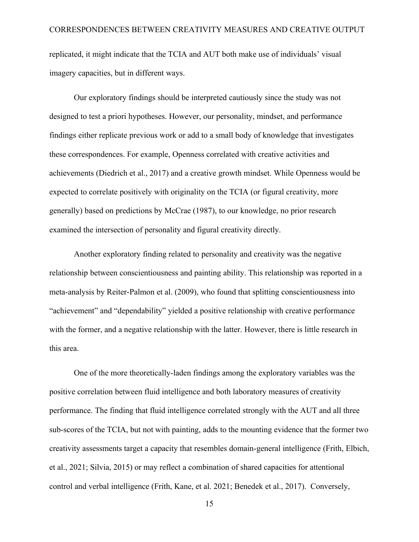replicated, it might indicate that the TCIA and AUT both make use of individuals' visual imagery capacities, but in different ways.

Our exploratory findings should be interpreted cautiously since the study was not designed to test a priori hypotheses. However, our personality, mindset, and performance findings either replicate previous work or add to a small body of knowledge that investigates these correspondences. For example, Openness correlated with creative activities and achievements (Diedrich et al., 2017) and a creative growth mindset. While Openness would be expected to correlate positively with originality on the TCIA (or figural creativity, more generally) based on predictions by McCrae (1987), to our knowledge, no prior research examined the intersection of personality and figural creativity directly.

Another exploratory finding related to personality and creativity was the negative relationship between conscientiousness and painting ability. This relationship was reported in a meta-analysis by Reiter-Palmon et al. (2009), who found that splitting conscientiousness into "achievement" and "dependability" yielded a positive relationship with creative performance with the former, and a negative relationship with the latter. However, there is little research in this area.

One of the more theoretically-laden findings among the exploratory variables was the positive correlation between fluid intelligence and both laboratory measures of creativity performance. The finding that fluid intelligence correlated strongly with the AUT and all three sub-scores of the TCIA, but not with painting, adds to the mounting evidence that the former two creativity assessments target a capacity that resembles domain-general intelligence (Frith, Elbich, et al., 2021; Silvia, 2015) or may reflect a combination of shared capacities for attentional control and verbal intelligence (Frith, Kane, et al. 2021; Benedek et al., 2017). Conversely,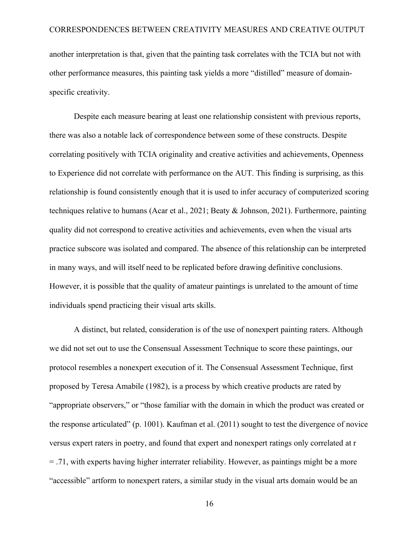another interpretation is that, given that the painting task correlates with the TCIA but not with other performance measures, this painting task yields a more "distilled" measure of domainspecific creativity.

Despite each measure bearing at least one relationship consistent with previous reports, there was also a notable lack of correspondence between some of these constructs. Despite correlating positively with TCIA originality and creative activities and achievements, Openness to Experience did not correlate with performance on the AUT. This finding is surprising, as this relationship is found consistently enough that it is used to infer accuracy of computerized scoring techniques relative to humans (Acar et al., 2021; Beaty & Johnson, 2021). Furthermore, painting quality did not correspond to creative activities and achievements, even when the visual arts practice subscore was isolated and compared. The absence of this relationship can be interpreted in many ways, and will itself need to be replicated before drawing definitive conclusions. However, it is possible that the quality of amateur paintings is unrelated to the amount of time individuals spend practicing their visual arts skills.

A distinct, but related, consideration is of the use of nonexpert painting raters. Although we did not set out to use the Consensual Assessment Technique to score these paintings, our protocol resembles a nonexpert execution of it. The Consensual Assessment Technique, first proposed by Teresa Amabile (1982), is a process by which creative products are rated by "appropriate observers," or "those familiar with the domain in which the product was created or the response articulated" (p. 1001). Kaufman et al. (2011) sought to test the divergence of novice versus expert raters in poetry, and found that expert and nonexpert ratings only correlated at r = .71, with experts having higher interrater reliability. However, as paintings might be a more "accessible" artform to nonexpert raters, a similar study in the visual arts domain would be an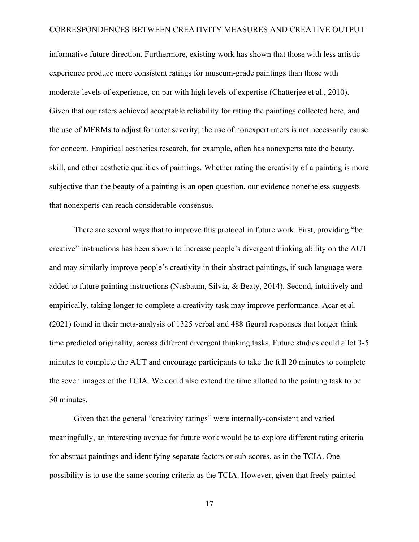informative future direction. Furthermore, existing work has shown that those with less artistic experience produce more consistent ratings for museum-grade paintings than those with moderate levels of experience, on par with high levels of expertise (Chatterjee et al., 2010). Given that our raters achieved acceptable reliability for rating the paintings collected here, and the use of MFRMs to adjust for rater severity, the use of nonexpert raters is not necessarily cause for concern. Empirical aesthetics research, for example, often has nonexperts rate the beauty, skill, and other aesthetic qualities of paintings. Whether rating the creativity of a painting is more subjective than the beauty of a painting is an open question, our evidence nonetheless suggests that nonexperts can reach considerable consensus.

There are several ways that to improve this protocol in future work. First, providing "be creative" instructions has been shown to increase people's divergent thinking ability on the AUT and may similarly improve people's creativity in their abstract paintings, if such language were added to future painting instructions (Nusbaum, Silvia, & Beaty, 2014). Second, intuitively and empirically, taking longer to complete a creativity task may improve performance. Acar et al. (2021) found in their meta-analysis of 1325 verbal and 488 figural responses that longer think time predicted originality, across different divergent thinking tasks. Future studies could allot 3-5 minutes to complete the AUT and encourage participants to take the full 20 minutes to complete the seven images of the TCIA. We could also extend the time allotted to the painting task to be 30 minutes.

Given that the general "creativity ratings" were internally-consistent and varied meaningfully, an interesting avenue for future work would be to explore different rating criteria for abstract paintings and identifying separate factors or sub-scores, as in the TCIA. One possibility is to use the same scoring criteria as the TCIA. However, given that freely-painted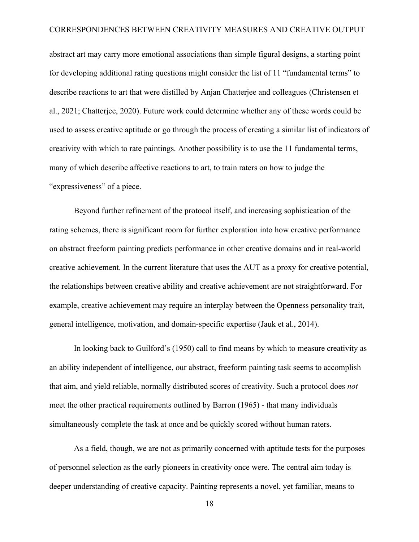abstract art may carry more emotional associations than simple figural designs, a starting point for developing additional rating questions might consider the list of 11 "fundamental terms" to describe reactions to art that were distilled by Anjan Chatterjee and colleagues (Christensen et al., 2021; Chatterjee, 2020). Future work could determine whether any of these words could be used to assess creative aptitude or go through the process of creating a similar list of indicators of creativity with which to rate paintings. Another possibility is to use the 11 fundamental terms, many of which describe affective reactions to art, to train raters on how to judge the "expressiveness" of a piece.

Beyond further refinement of the protocol itself, and increasing sophistication of the rating schemes, there is significant room for further exploration into how creative performance on abstract freeform painting predicts performance in other creative domains and in real-world creative achievement. In the current literature that uses the AUT as a proxy for creative potential, the relationships between creative ability and creative achievement are not straightforward. For example, creative achievement may require an interplay between the Openness personality trait, general intelligence, motivation, and domain-specific expertise (Jauk et al., 2014).

In looking back to Guilford's (1950) call to find means by which to measure creativity as an ability independent of intelligence, our abstract, freeform painting task seems to accomplish that aim, and yield reliable, normally distributed scores of creativity. Such a protocol does *not* meet the other practical requirements outlined by Barron (1965) - that many individuals simultaneously complete the task at once and be quickly scored without human raters.

As a field, though, we are not as primarily concerned with aptitude tests for the purposes of personnel selection as the early pioneers in creativity once were. The central aim today is deeper understanding of creative capacity. Painting represents a novel, yet familiar, means to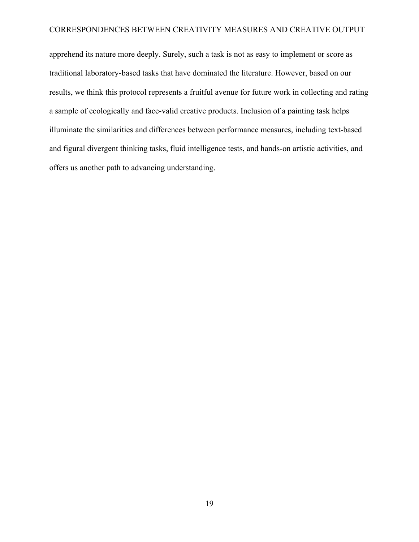apprehend its nature more deeply. Surely, such a task is not as easy to implement or score as traditional laboratory-based tasks that have dominated the literature. However, based on our results, we think this protocol represents a fruitful avenue for future work in collecting and rating a sample of ecologically and face-valid creative products. Inclusion of a painting task helps illuminate the similarities and differences between performance measures, including text-based and figural divergent thinking tasks, fluid intelligence tests, and hands-on artistic activities, and offers us another path to advancing understanding.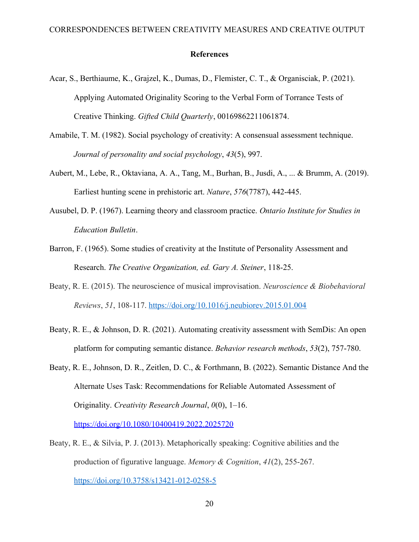#### **References**

- Acar, S., Berthiaume, K., Grajzel, K., Dumas, D., Flemister, C. T., & Organisciak, P. (2021). Applying Automated Originality Scoring to the Verbal Form of Torrance Tests of Creative Thinking. *Gifted Child Quarterly*, 00169862211061874.
- Amabile, T. M. (1982). Social psychology of creativity: A consensual assessment technique. *Journal of personality and social psychology*, *43*(5), 997.
- Aubert, M., Lebe, R., Oktaviana, A. A., Tang, M., Burhan, B., Jusdi, A., ... & Brumm, A. (2019). Earliest hunting scene in prehistoric art. *Nature*, *576*(7787), 442-445.
- Ausubel, D. P. (1967). Learning theory and classroom practice. *Ontario Institute for Studies in Education Bulletin*.
- Barron, F. (1965). Some studies of creativity at the Institute of Personality Assessment and Research. *The Creative Organization, ed. Gary A. Steiner*, 118-25.
- Beaty, R. E. (2015). The neuroscience of musical improvisation. *Neuroscience & Biobehavioral Reviews*, *51*, 108-117. <https://doi.org/10.1016/j.neubiorev.2015.01.004>
- Beaty, R. E., & Johnson, D. R. (2021). Automating creativity assessment with SemDis: An open platform for computing semantic distance. *Behavior research methods*, *53*(2), 757-780.
- Beaty, R. E., Johnson, D. R., Zeitlen, D. C., & Forthmann, B. (2022). Semantic Distance And the Alternate Uses Task: Recommendations for Reliable Automated Assessment of Originality. *Creativity Research Journal*, *0*(0), 1–16. <https://doi.org/10.1080/10400419.2022.2025720>
- Beaty, R. E., & Silvia, P. J. (2013). Metaphorically speaking: Cognitive abilities and the production of figurative language. *Memory & Cognition*, *41*(2), 255-267. <https://doi.org/10.3758/s13421-012-0258-5>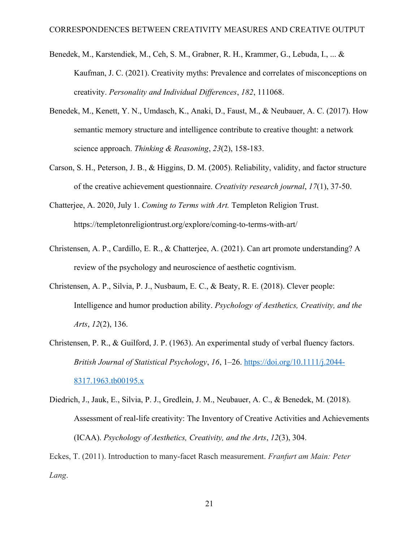- Benedek, M., Karstendiek, M., Ceh, S. M., Grabner, R. H., Krammer, G., Lebuda, I., ... & Kaufman, J. C. (2021). Creativity myths: Prevalence and correlates of misconceptions on creativity. *Personality and Individual Differences*, *182*, 111068.
- Benedek, M., Kenett, Y. N., Umdasch, K., Anaki, D., Faust, M., & Neubauer, A. C. (2017). How semantic memory structure and intelligence contribute to creative thought: a network science approach. *Thinking & Reasoning*, *23*(2), 158-183.
- Carson, S. H., Peterson, J. B., & Higgins, D. M. (2005). Reliability, validity, and factor structure of the creative achievement questionnaire. *Creativity research journal*, *17*(1), 37-50.
- Chatterjee, A. 2020, July 1. *Coming to Terms with Art.* Templeton Religion Trust. https://templetonreligiontrust.org/explore/coming-to-terms-with-art/
- Christensen, A. P., Cardillo, E. R., & Chatterjee, A. (2021). Can art promote understanding? A review of the psychology and neuroscience of aesthetic cogntivism.
- Christensen, A. P., Silvia, P. J., Nusbaum, E. C., & Beaty, R. E. (2018). Clever people: Intelligence and humor production ability. *Psychology of Aesthetics, Creativity, and the Arts*, *12*(2), 136.
- Christensen, P. R., & Guilford, J. P. (1963). An experimental study of verbal fluency factors. *British Journal of Statistical Psychology*, *16*, 1–26. [https://doi.org/10.1111/j.2044-](https://doi.org/10.1111/j.2044-8317.1963.tb00195.x) [8317.1963.tb00195.x](https://doi.org/10.1111/j.2044-8317.1963.tb00195.x)
- Diedrich, J., Jauk, E., Silvia, P. J., Gredlein, J. M., Neubauer, A. C., & Benedek, M. (2018). Assessment of real-life creativity: The Inventory of Creative Activities and Achievements (ICAA). *Psychology of Aesthetics, Creativity, and the Arts*, *12*(3), 304.

Eckes, T. (2011). Introduction to many-facet Rasch measurement. *Franfurt am Main: Peter Lang*.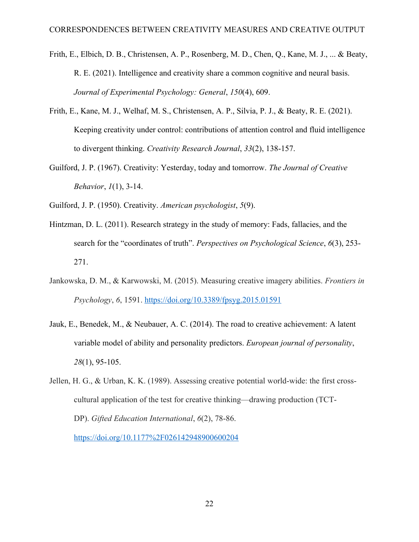- Frith, E., Elbich, D. B., Christensen, A. P., Rosenberg, M. D., Chen, Q., Kane, M. J., ... & Beaty, R. E. (2021). Intelligence and creativity share a common cognitive and neural basis. *Journal of Experimental Psychology: General*, *150*(4), 609.
- Frith, E., Kane, M. J., Welhaf, M. S., Christensen, A. P., Silvia, P. J., & Beaty, R. E. (2021). Keeping creativity under control: contributions of attention control and fluid intelligence to divergent thinking. *Creativity Research Journal*, *33*(2), 138-157.
- Guilford, J. P. (1967). Creativity: Yesterday, today and tomorrow. *The Journal of Creative Behavior*, *1*(1), 3-14.
- Guilford, J. P. (1950). Creativity. *American psychologist*, *5*(9).
- Hintzman, D. L. (2011). Research strategy in the study of memory: Fads, fallacies, and the search for the "coordinates of truth". *Perspectives on Psychological Science*, *6*(3), 253- 271.
- Jankowska, D. M., & Karwowski, M. (2015). Measuring creative imagery abilities. *Frontiers in Psychology*, *6*, 1591. <https://doi.org/10.3389/fpsyg.2015.01591>
- Jauk, E., Benedek, M., & Neubauer, A. C. (2014). The road to creative achievement: A latent variable model of ability and personality predictors. *European journal of personality*, *28*(1), 95-105.

Jellen, H. G., & Urban, K. K. (1989). Assessing creative potential world-wide: the first crosscultural application of the test for creative thinking—drawing production (TCT-DP). *Gifted Education International*, *6*(2), 78-86. <https://doi.org/10.1177%2F026142948900600204>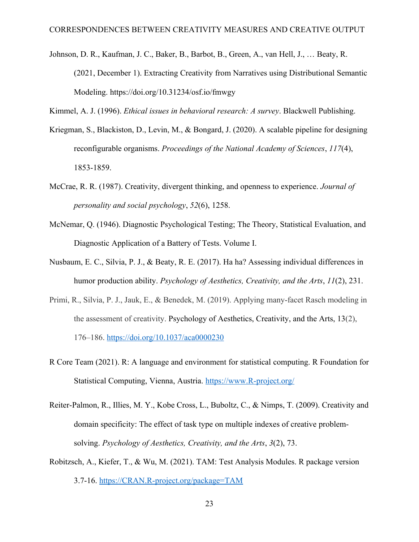- Johnson, D. R., Kaufman, J. C., Baker, B., Barbot, B., Green, A., van Hell, J., … Beaty, R. (2021, December 1). Extracting Creativity from Narratives using Distributional Semantic Modeling. https://doi.org/10.31234/osf.io/fmwgy
- Kimmel, A. J. (1996). *Ethical issues in behavioral research: A survey*. Blackwell Publishing.
- Kriegman, S., Blackiston, D., Levin, M., & Bongard, J. (2020). A scalable pipeline for designing reconfigurable organisms. *Proceedings of the National Academy of Sciences*, *117*(4), 1853-1859.
- McCrae, R. R. (1987). Creativity, divergent thinking, and openness to experience. *Journal of personality and social psychology*, *52*(6), 1258.
- McNemar, Q. (1946). Diagnostic Psychological Testing; The Theory, Statistical Evaluation, and Diagnostic Application of a Battery of Tests. Volume I.
- Nusbaum, E. C., Silvia, P. J., & Beaty, R. E. (2017). Ha ha? Assessing individual differences in humor production ability. *Psychology of Aesthetics, Creativity, and the Arts*, *11*(2), 231.
- Primi, R., Silvia, P. J., Jauk, E., & Benedek, M. (2019). Applying many-facet Rasch modeling in the assessment of creativity. Psychology of Aesthetics, Creativity, and the Arts, 13(2), 176–186. [https://doi.org/10.1037/aca0000230](https://psycnet.apa.org/doi/10.1037/aca0000230)
- R Core Team (2021). R: A language and environment for statistical computing. R Foundation for Statistical Computing, Vienna, Austria.<https://www.R-project.org/>
- Reiter-Palmon, R., Illies, M. Y., Kobe Cross, L., Buboltz, C., & Nimps, T. (2009). Creativity and domain specificity: The effect of task type on multiple indexes of creative problemsolving. *Psychology of Aesthetics, Creativity, and the Arts*, *3*(2), 73.
- Robitzsch, A., Kiefer, T., & Wu, M. (2021). TAM: Test Analysis Modules. R package version 3.7-16.<https://CRAN.R-project.org/package=TAM>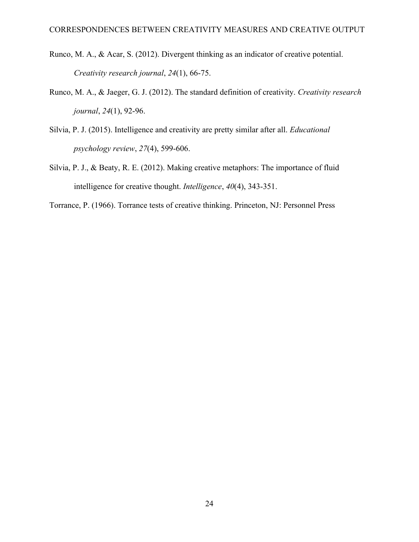- Runco, M. A., & Acar, S. (2012). Divergent thinking as an indicator of creative potential. *Creativity research journal*, *24*(1), 66-75.
- Runco, M. A., & Jaeger, G. J. (2012). The standard definition of creativity. *Creativity research journal*, *24*(1), 92-96.
- Silvia, P. J. (2015). Intelligence and creativity are pretty similar after all. *Educational psychology review*, *27*(4), 599-606.
- Silvia, P. J., & Beaty, R. E. (2012). Making creative metaphors: The importance of fluid intelligence for creative thought. *Intelligence*, *40*(4), 343-351.

Torrance, P. (1966). Torrance tests of creative thinking. Princeton, NJ: Personnel Press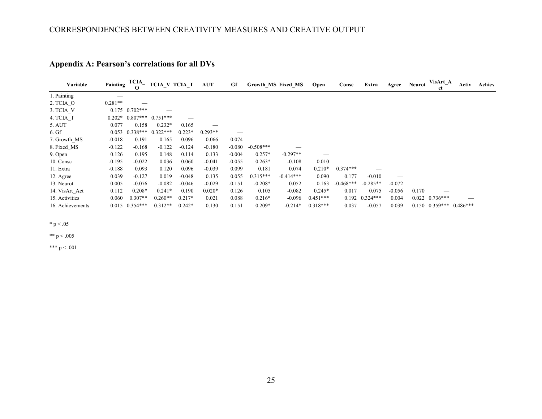| Variable         | Painting  | $TCIA$ <sub>-</sub><br>$\Omega$ | <b>TCIA_V TCIA_T</b> |          | <b>AUT</b> | Gf       |             | <b>Growth MS Fixed MS</b> | Open       | Consc       | Extra              | Agree    | <b>Neurot</b> | VisArt_A<br>ct                | Activ | Achiev |
|------------------|-----------|---------------------------------|----------------------|----------|------------|----------|-------------|---------------------------|------------|-------------|--------------------|----------|---------------|-------------------------------|-------|--------|
| 1. Painting      |           |                                 |                      |          |            |          |             |                           |            |             |                    |          |               |                               |       |        |
| 2. TCIA O        | $0.281**$ |                                 |                      |          |            |          |             |                           |            |             |                    |          |               |                               |       |        |
| 3. TCIA V        |           | $0.175$ $0.702***$              |                      |          |            |          |             |                           |            |             |                    |          |               |                               |       |        |
| 4. TCIA T        | $0.202*$  | $0.807***$ $0.751***$           |                      |          |            |          |             |                           |            |             |                    |          |               |                               |       |        |
| 5. AUT           | 0.077     | 0.158                           | $0.232*$             | 0.165    |            |          |             |                           |            |             |                    |          |               |                               |       |        |
| $6. Gf$          | 0.053     | $0.338***$                      | $0.322***$           | $0.223*$ | $0.293**$  |          |             |                           |            |             |                    |          |               |                               |       |        |
| 7. Growth MS     | $-0.018$  | 0.191                           | 0.165                | 0.096    | 0.066      | 0.074    |             |                           |            |             |                    |          |               |                               |       |        |
| 8. Fixed MS      | $-0.122$  | $-0.168$                        | $-0.122$             | $-0.124$ | $-0.180$   | $-0.080$ | $-0.508***$ |                           |            |             |                    |          |               |                               |       |        |
| 9. Open          | 0.126     | 0.195                           | 0.148                | 0.114    | 0.133      | $-0.004$ | $0.257*$    | $-0.297**$                |            |             |                    |          |               |                               |       |        |
| 10. Consc        | $-0.195$  | $-0.022$                        | 0.036                | 0.060    | $-0.041$   | $-0.055$ | $0.263*$    | $-0.108$                  | 0.010      |             |                    |          |               |                               |       |        |
| 11. Extra        | $-0.188$  | 0.093                           | 0.120                | 0.096    | $-0.039$   | 0.099    | 0.181       | 0.074                     | $0.210*$   | $0.374***$  |                    |          |               |                               |       |        |
| 12. Agree        | 0.039     | $-0.127$                        | 0.019                | $-0.048$ | 0.135      | 0.055    | $0.315***$  | $-0.414***$               | 0.090      | 0.177       | $-0.010$           |          |               |                               |       |        |
| 13. Neurot       | 0.005     | $-0.076$                        | $-0.082$             | $-0.046$ | $-0.029$   | $-0.151$ | $-0.208*$   | 0.052                     | 0.163      | $-0.468***$ | $-0.285**$         | $-0.072$ |               |                               |       |        |
| 14. VisArt Act   | 0.112     | $0.208*$                        | $0.241*$             | 0.190    | $0.020*$   | 0.126    | 0.105       | $-0.082$                  | $0.245*$   | 0.017       | 0.075              | $-0.056$ | 0.170         |                               |       |        |
| 15. Activities   | 0.060     | $0.307**$                       | $0.260**$            | $0.217*$ | 0.021      | 0.088    | $0.216*$    | $-0.096$                  | $0.451***$ |             | $0.192$ $0.324***$ | 0.004    |               | $0.022$ $0.736***$            |       |        |
| 16. Achievements |           | $0.015$ $0.354***$              | $0.312**$            | $0.242*$ | 0.130      | 0.151    | $0.209*$    | $-0.214*$                 | $0.318***$ | 0.037       | $-0.057$           | 0.039    |               | $0.150$ $0.359***$ $0.486***$ |       |        |

# **Appendix A: Pearson's correlations for all DVs**

 $*$  p  $< .05$ 

\*\* p < .005

\*\*\*  $p < .001$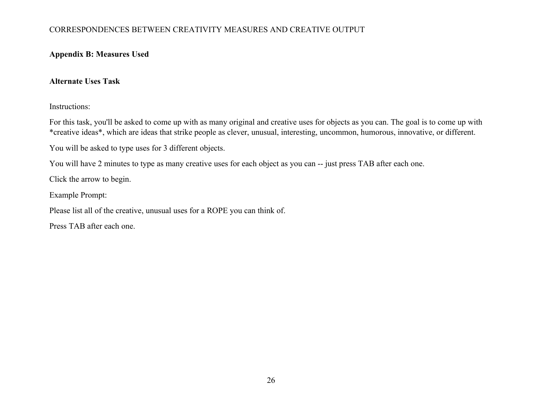# **Appendix B: Measures Used**

# **Alternate Uses Task**

Instructions:

For this task, you'll be asked to come up with as many original and creative uses for objects as you can. The goal is to come up with \*creative ideas\*, which are ideas that strike people as clever, unusual, interesting, uncommon, humorous, innovative, or different.

You will be asked to type uses for 3 different objects.

You will have 2 minutes to type as many creative uses for each object as you can -- just press TAB after each one.

Click the arrow to begin.

Example Prompt:

Please list all of the creative, unusual uses for a ROPE you can think of.

Press TAB after each one.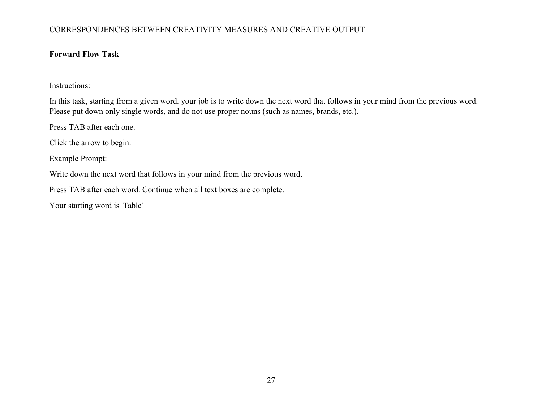## **Forward Flow Task**

Instructions:

In this task, starting from a given word, your job is to write down the next word that follows in your mind from the previous word. Please put down only single words, and do not use proper nouns (such as names, brands, etc.).

Press TAB after each one.

Click the arrow to begin.

Example Prompt:

Write down the next word that follows in your mind from the previous word.

Press TAB after each word. Continue when all text boxes are complete.

Your starting word is 'Table'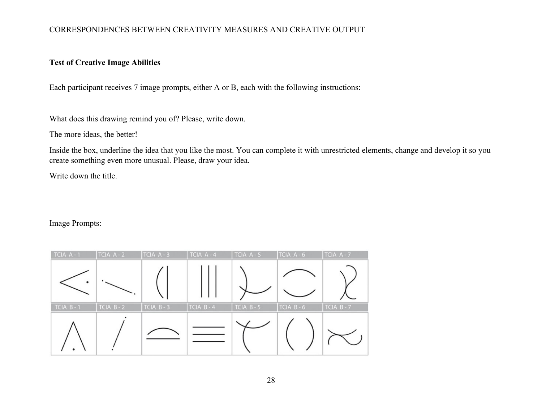# **Test of Creative Image Abilities**

Each participant receives 7 image prompts, either A or B, each with the following instructions:

What does this drawing remind you of? Please, write down.

The more ideas, the better!

Inside the box, underline the idea that you like the most. You can complete it with unrestricted elements, change and develop it so you create something even more unusual. Please, draw your idea.

Write down the title.

Image Prompts: